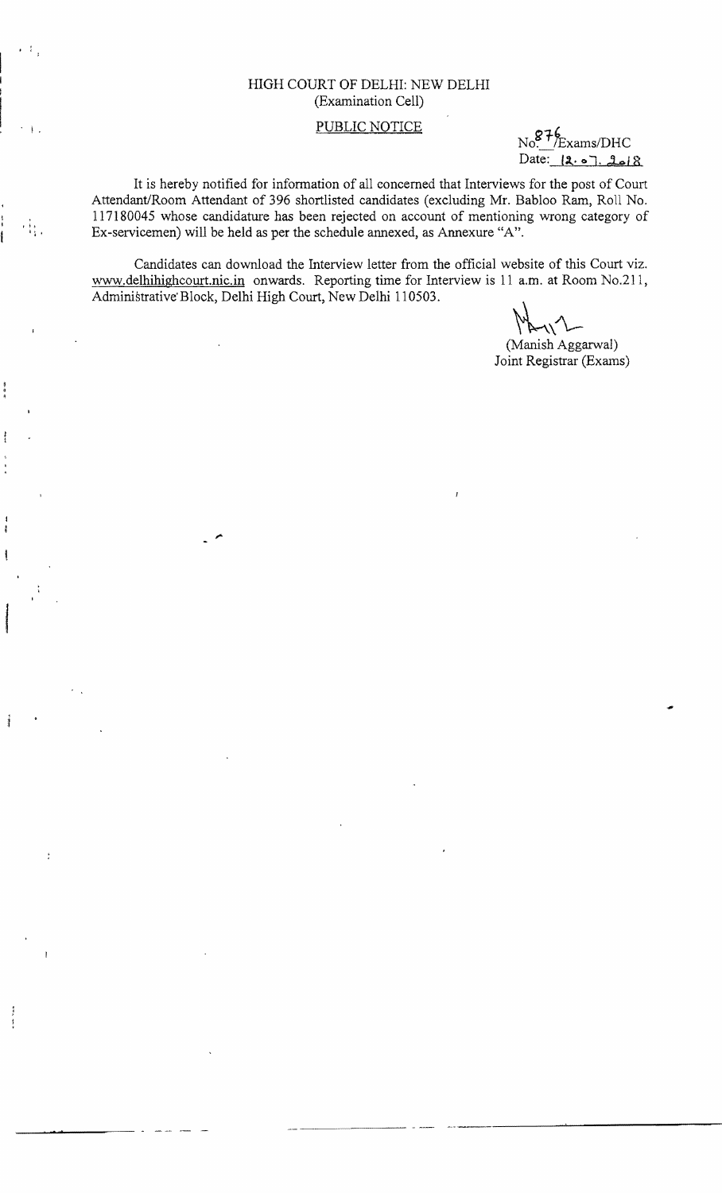## HIGH COURT OF DELHI: NEW DELHI (Examination Cell)

## PUBLIC NOTICE

kams/DHC  $Date: [2.07.2618]$ 

It is hereby notified for information of all concerned that Interviews for the post of Court Attendant/Room Attendant of 396 shortlisted candidates (excluding Mr. Babloo Ram, Roll No.  $\frac{117180045}{11}$ ,  $\frac{117180045}{11}$  whose candidature has been rejected on account of mentioning wrong category of Ex-servicemen) will be held as per the schedule annexed, as Annexure "A".

> Candidates can download the Interview letter from the official website of this Court viz. www.delhihighcourt.nic.in onwards. Reporting time for Interview is 11 a.m. at Room No.211, Administrative'Block, Delhi High Court, New Delhi 110503.

. **·** 

(Manish Aggarwal) Joint Registrar (Exams)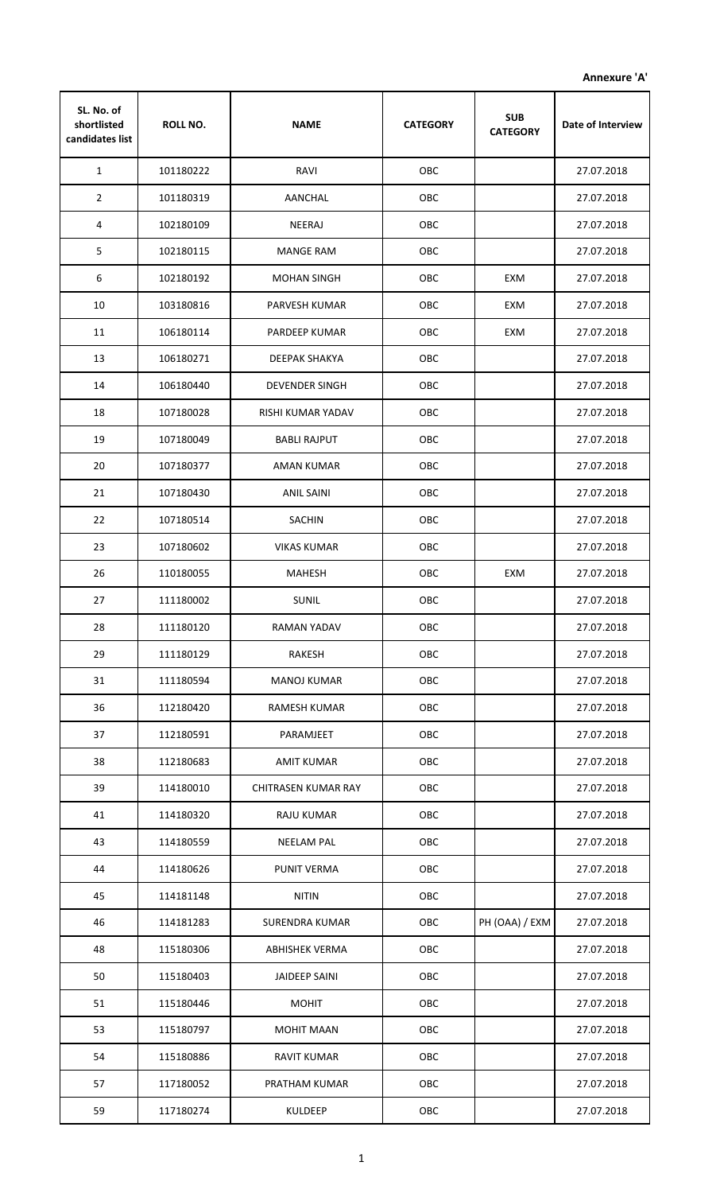**Annexure 'A'**

| SL. No. of<br>shortlisted<br>candidates list | <b>ROLL NO.</b> | <b>NAME</b>                | <b>CATEGORY</b> | <b>SUB</b><br><b>CATEGORY</b> | Date of Interview |
|----------------------------------------------|-----------------|----------------------------|-----------------|-------------------------------|-------------------|
| $\mathbf{1}$                                 | 101180222       | RAVI                       | OBC             |                               | 27.07.2018        |
| $\overline{2}$                               | 101180319       | AANCHAL                    | OBC             |                               | 27.07.2018        |
| 4                                            | 102180109       | NEERAJ                     | OBC             |                               | 27.07.2018        |
| 5                                            | 102180115       | <b>MANGE RAM</b>           | OBC             |                               | 27.07.2018        |
| 6                                            | 102180192       | <b>MOHAN SINGH</b>         | OBC             | EXM                           | 27.07.2018        |
| 10                                           | 103180816       | PARVESH KUMAR              | OBC             | EXM                           | 27.07.2018        |
| 11                                           | 106180114       | PARDEEP KUMAR              | OBC             | EXM                           | 27.07.2018        |
| 13                                           | 106180271       | DEEPAK SHAKYA              | OBC             |                               | 27.07.2018        |
| 14                                           | 106180440       | <b>DEVENDER SINGH</b>      | OBC             |                               | 27.07.2018        |
| 18                                           | 107180028       | RISHI KUMAR YADAV          | OBC             |                               | 27.07.2018        |
| 19                                           | 107180049       | <b>BABLI RAJPUT</b>        | OBC             |                               | 27.07.2018        |
| 20                                           | 107180377       | AMAN KUMAR                 | OBC             |                               | 27.07.2018        |
| 21                                           | 107180430       | ANIL SAINI                 | OBC             |                               | 27.07.2018        |
| 22                                           | 107180514       | <b>SACHIN</b>              | OBC             |                               | 27.07.2018        |
| 23                                           | 107180602       | <b>VIKAS KUMAR</b>         | OBC             |                               | 27.07.2018        |
| 26                                           | 110180055       | <b>MAHESH</b>              | OBC             | EXM                           | 27.07.2018        |
| 27                                           | 111180002       | <b>SUNIL</b>               | OBC             |                               | 27.07.2018        |
| 28                                           | 111180120       | RAMAN YADAV                | <b>OBC</b>      |                               | 27.07.2018        |
| 29                                           | 111180129       | <b>RAKESH</b>              | OBC             |                               | 27.07.2018        |
| 31                                           | 111180594       | <b>MANOJ KUMAR</b>         | OBC             |                               | 27.07.2018        |
| 36                                           | 112180420       | RAMESH KUMAR               | OBC             |                               | 27.07.2018        |
| 37                                           | 112180591       | PARAMJEET                  | OBC             |                               | 27.07.2018        |
| 38                                           | 112180683       | <b>AMIT KUMAR</b>          | OBC             |                               | 27.07.2018        |
| 39                                           | 114180010       | <b>CHITRASEN KUMAR RAY</b> | OBC             |                               | 27.07.2018        |
| 41                                           | 114180320       | <b>RAJU KUMAR</b>          | OBC             |                               | 27.07.2018        |
| 43                                           | 114180559       | <b>NEELAM PAL</b>          | OBC             |                               | 27.07.2018        |
| 44                                           | 114180626       | PUNIT VERMA                | OBC             |                               | 27.07.2018        |
| 45                                           | 114181148       | <b>NITIN</b>               | OBC             |                               | 27.07.2018        |
| 46                                           | 114181283       | SURENDRA KUMAR             | OBC             | PH (OAA) / EXM                | 27.07.2018        |
| 48                                           | 115180306       | <b>ABHISHEK VERMA</b>      | OBC             |                               | 27.07.2018        |
| 50                                           | 115180403       | JAIDEEP SAINI              | OBC             |                               | 27.07.2018        |
| 51                                           | 115180446       | <b>MOHIT</b>               | OBC             |                               | 27.07.2018        |
| 53                                           | 115180797       | <b>MOHIT MAAN</b>          | OBC             |                               | 27.07.2018        |
| 54                                           | 115180886       | RAVIT KUMAR                | OBC             |                               | 27.07.2018        |
| 57                                           | 117180052       | PRATHAM KUMAR              | OBC             |                               | 27.07.2018        |
| 59                                           | 117180274       | KULDEEP                    | OBC             |                               | 27.07.2018        |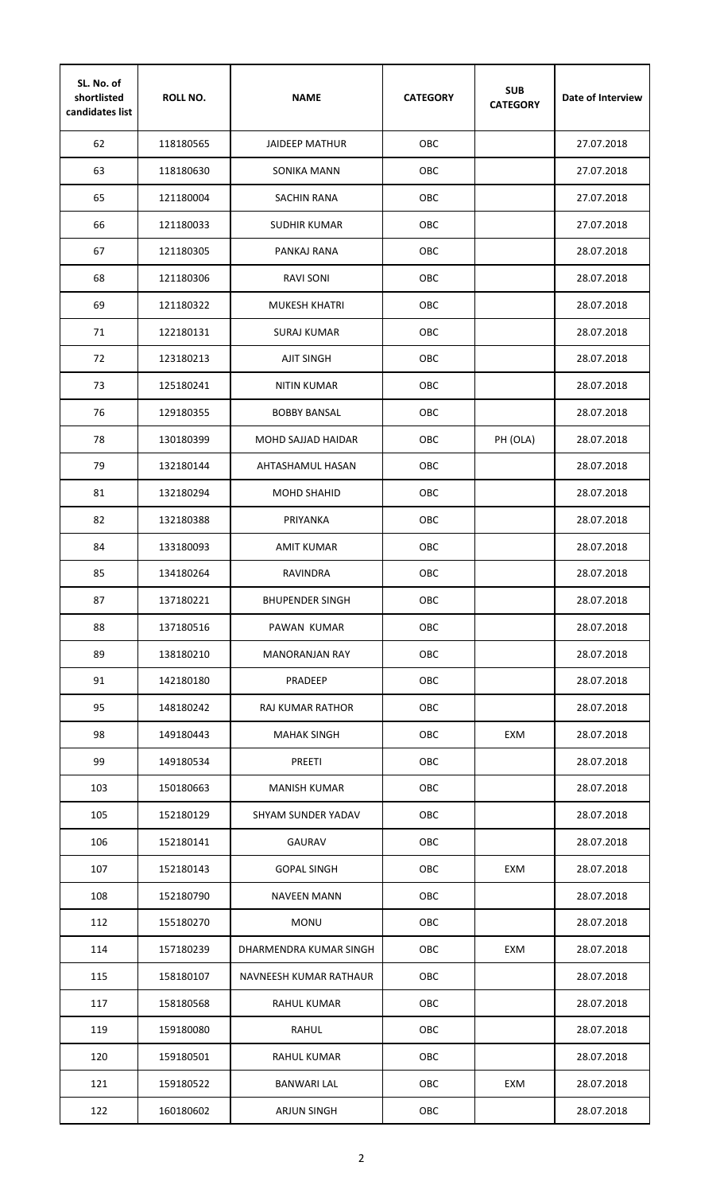| SL. No. of<br>shortlisted<br>candidates list | <b>ROLL NO.</b> | <b>NAME</b>            | <b>CATEGORY</b> | <b>SUB</b><br><b>CATEGORY</b> | Date of Interview |
|----------------------------------------------|-----------------|------------------------|-----------------|-------------------------------|-------------------|
| 62                                           | 118180565       | <b>JAIDEEP MATHUR</b>  | OBC             |                               | 27.07.2018        |
| 63                                           | 118180630       | SONIKA MANN            | OBC             |                               | 27.07.2018        |
| 65                                           | 121180004       | <b>SACHIN RANA</b>     | OBC             |                               | 27.07.2018        |
| 66                                           | 121180033       | SUDHIR KUMAR           | OBC             |                               | 27.07.2018        |
| 67                                           | 121180305       | PANKAJ RANA            | OBC             |                               | 28.07.2018        |
| 68                                           | 121180306       | <b>RAVI SONI</b>       | <b>OBC</b>      |                               | 28.07.2018        |
| 69                                           | 121180322       | <b>MUKESH KHATRI</b>   | OBC             |                               | 28.07.2018        |
| 71                                           | 122180131       | <b>SURAJ KUMAR</b>     | <b>OBC</b>      |                               | 28.07.2018        |
| 72                                           | 123180213       | <b>AJIT SINGH</b>      | OBC             |                               | 28.07.2018        |
| 73                                           | 125180241       | NITIN KUMAR            | OBC             |                               | 28.07.2018        |
| 76                                           | 129180355       | <b>BOBBY BANSAL</b>    | OBC             |                               | 28.07.2018        |
| 78                                           | 130180399       | MOHD SAJJAD HAIDAR     | ОВС             | PH (OLA)                      | 28.07.2018        |
| 79                                           | 132180144       | AHTASHAMUL HASAN       | OBC             |                               | 28.07.2018        |
| 81                                           | 132180294       | <b>MOHD SHAHID</b>     | ОВС             |                               | 28.07.2018        |
| 82                                           | 132180388       | PRIYANKA               | OBC             |                               | 28.07.2018        |
| 84                                           | 133180093       | <b>AMIT KUMAR</b>      | OBC             |                               | 28.07.2018        |
| 85                                           | 134180264       | <b>RAVINDRA</b>        | OBC             |                               | 28.07.2018        |
| 87                                           | 137180221       | <b>BHUPENDER SINGH</b> | OBC             |                               | 28.07.2018        |
| 88                                           | 137180516       | PAWAN KUMAR            | OBC             |                               | 28.07.2018        |
| 89                                           | 138180210       | <b>MANORANJAN RAY</b>  | OBC             |                               | 28.07.2018        |
| 91                                           | 142180180       | PRADEEP                | OBC             |                               | 28.07.2018        |
| 95                                           | 148180242       | RAJ KUMAR RATHOR       | OBC             |                               | 28.07.2018        |
| 98                                           | 149180443       | <b>MAHAK SINGH</b>     | OBC             | EXM                           | 28.07.2018        |
| 99                                           | 149180534       | <b>PREETI</b>          | OBC             |                               | 28.07.2018        |
| 103                                          | 150180663       | <b>MANISH KUMAR</b>    | OBC             |                               | 28.07.2018        |
| 105                                          | 152180129       | SHYAM SUNDER YADAV     | OBC             |                               | 28.07.2018        |
| 106                                          | 152180141       | <b>GAURAV</b>          | OBC             |                               | 28.07.2018        |
| 107                                          | 152180143       | <b>GOPAL SINGH</b>     | OBC             | EXM                           | 28.07.2018        |
| 108                                          | 152180790       | <b>NAVEEN MANN</b>     | OBC             |                               | 28.07.2018        |
| 112                                          | 155180270       | <b>MONU</b>            | OBC             |                               | 28.07.2018        |
| 114                                          | 157180239       | DHARMENDRA KUMAR SINGH | OBC             | EXM                           | 28.07.2018        |
| 115                                          | 158180107       | NAVNEESH KUMAR RATHAUR | OBC             |                               | 28.07.2018        |
| 117                                          | 158180568       | RAHUL KUMAR            | OBC             |                               | 28.07.2018        |
| 119                                          | 159180080       | RAHUL                  | OBC             |                               | 28.07.2018        |
| 120                                          | 159180501       | <b>RAHUL KUMAR</b>     | OBC             |                               | 28.07.2018        |
| 121                                          | 159180522       | <b>BANWARI LAL</b>     | OBC             | EXM                           | 28.07.2018        |
| 122                                          | 160180602       | <b>ARJUN SINGH</b>     | OBC             |                               | 28.07.2018        |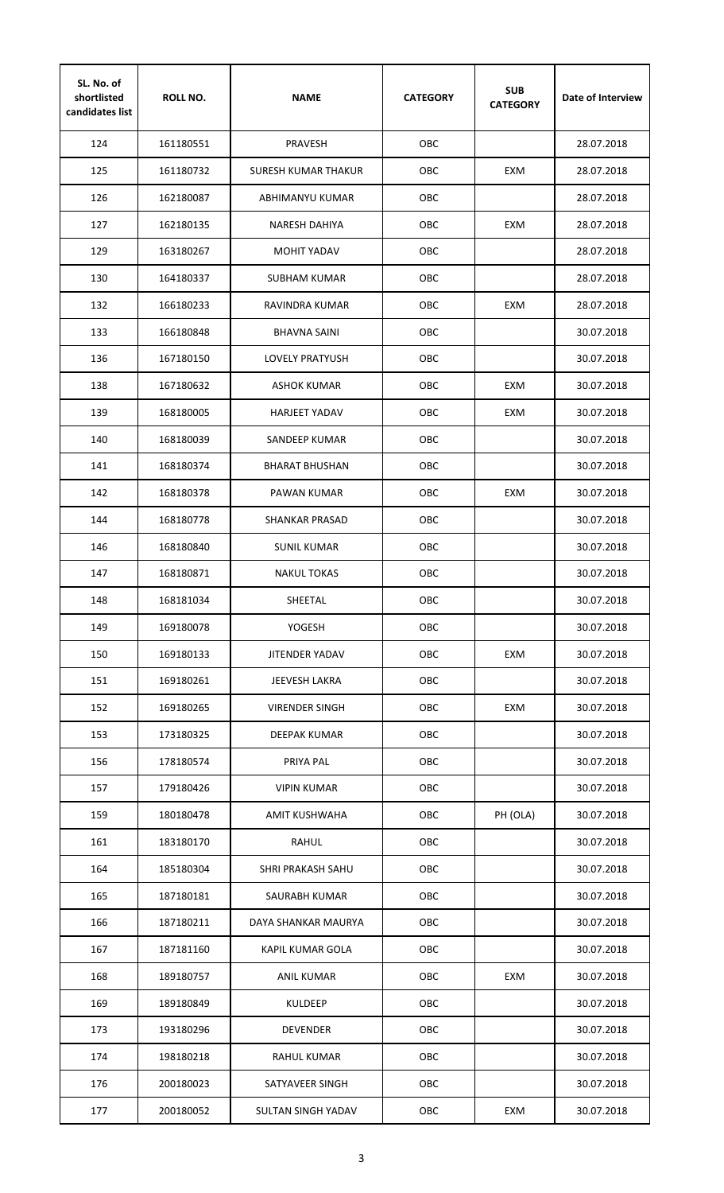| SL. No. of<br>shortlisted<br>candidates list | <b>ROLL NO.</b> | <b>NAME</b>            | <b>CATEGORY</b> | <b>SUB</b><br><b>CATEGORY</b> | Date of Interview |
|----------------------------------------------|-----------------|------------------------|-----------------|-------------------------------|-------------------|
| 124                                          | 161180551       | <b>PRAVESH</b>         | OBC             |                               | 28.07.2018        |
| 125                                          | 161180732       | SURESH KUMAR THAKUR    | OBC             | EXM                           | 28.07.2018        |
| 126                                          | 162180087       | ABHIMANYU KUMAR        | OBC             |                               | 28.07.2018        |
| 127                                          | 162180135       | <b>NARESH DAHIYA</b>   | ОВС             | EXM                           | 28.07.2018        |
| 129                                          | 163180267       | <b>MOHIT YADAV</b>     | ОВС             |                               | 28.07.2018        |
| 130                                          | 164180337       | <b>SUBHAM KUMAR</b>    | OBC.            |                               | 28.07.2018        |
| 132                                          | 166180233       | RAVINDRA KUMAR         | OBC             | EXM                           | 28.07.2018        |
| 133                                          | 166180848       | <b>BHAVNA SAINI</b>    | <b>OBC</b>      |                               | 30.07.2018        |
| 136                                          | 167180150       | <b>LOVELY PRATYUSH</b> | OBC             |                               | 30.07.2018        |
| 138                                          | 167180632       | <b>ASHOK KUMAR</b>     | OBC             | EXM                           | 30.07.2018        |
| 139                                          | 168180005       | <b>HARJEET YADAV</b>   | OBC             | EXM                           | 30.07.2018        |
| 140                                          | 168180039       | SANDEEP KUMAR          | ОВС             |                               | 30.07.2018        |
| 141                                          | 168180374       | <b>BHARAT BHUSHAN</b>  | ОВС             |                               | 30.07.2018        |
| 142                                          | 168180378       | PAWAN KUMAR            | ОВС             | EXM                           | 30.07.2018        |
| 144                                          | 168180778       | <b>SHANKAR PRASAD</b>  | OBC.            |                               | 30.07.2018        |
| 146                                          | 168180840       | <b>SUNIL KUMAR</b>     | <b>OBC</b>      |                               | 30.07.2018        |
| 147                                          | 168180871       | <b>NAKUL TOKAS</b>     | OBC             |                               | 30.07.2018        |
| 148                                          | 168181034       | SHEETAL                | OBC             |                               | 30.07.2018        |
| 149                                          | 169180078       | YOGESH                 | OBC             |                               | 30.07.2018        |
| 150                                          | 169180133       | JITENDER YADAV         | OBC             | EXM                           | 30.07.2018        |
| 151                                          | 169180261       | JEEVESH LAKRA          | OBC             |                               | 30.07.2018        |
| 152                                          | 169180265       | <b>VIRENDER SINGH</b>  | OBC             | EXM                           | 30.07.2018        |
| 153                                          | 173180325       | DEEPAK KUMAR           | OBC             |                               | 30.07.2018        |
| 156                                          | 178180574       | PRIYA PAL              | OBC             |                               | 30.07.2018        |
| 157                                          | 179180426       | <b>VIPIN KUMAR</b>     | OBC             |                               | 30.07.2018        |
| 159                                          | 180180478       | <b>AMIT KUSHWAHA</b>   | OBC             | PH (OLA)                      | 30.07.2018        |
| 161                                          | 183180170       | <b>RAHUL</b>           | OBC             |                               | 30.07.2018        |
| 164                                          | 185180304       | SHRI PRAKASH SAHU      | OBC             |                               | 30.07.2018        |
| 165                                          | 187180181       | SAURABH KUMAR          | OBC             |                               | 30.07.2018        |
| 166                                          | 187180211       | DAYA SHANKAR MAURYA    | OBC             |                               | 30.07.2018        |
| 167                                          | 187181160       | KAPIL KUMAR GOLA       | OBC             |                               | 30.07.2018        |
| 168                                          | 189180757       | ANIL KUMAR             | OBC             | EXM                           | 30.07.2018        |
| 169                                          | 189180849       | <b>KULDEEP</b>         | OBC             |                               | 30.07.2018        |
| 173                                          | 193180296       | <b>DEVENDER</b>        | OBC             |                               | 30.07.2018        |
| 174                                          | 198180218       | <b>RAHUL KUMAR</b>     | OBC             |                               | 30.07.2018        |
| 176                                          | 200180023       | SATYAVEER SINGH        | OBC             |                               | 30.07.2018        |
| 177                                          | 200180052       | SULTAN SINGH YADAV     | OBC             | EXM                           | 30.07.2018        |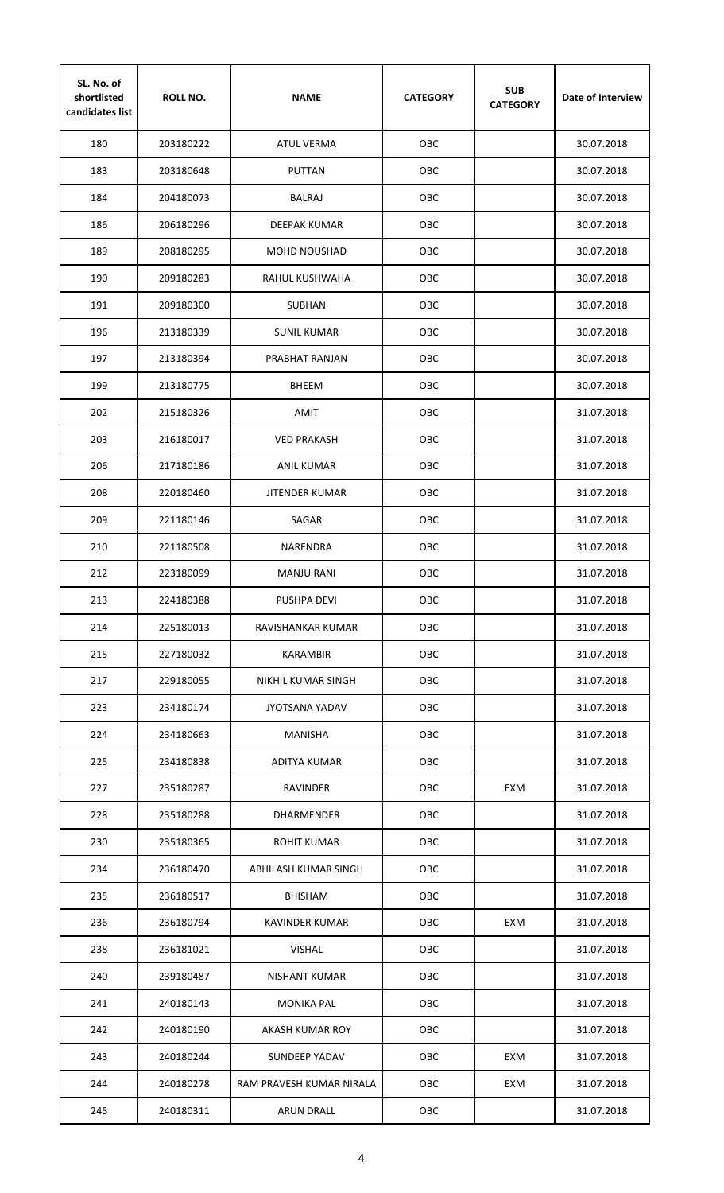| SL. No. of<br>shortlisted<br>candidates list | <b>ROLL NO.</b> | <b>NAME</b>              | <b>CATEGORY</b> | <b>SUB</b><br><b>CATEGORY</b> | Date of Interview |
|----------------------------------------------|-----------------|--------------------------|-----------------|-------------------------------|-------------------|
| 180                                          | 203180222       | <b>ATUL VERMA</b>        | OBC             |                               | 30.07.2018        |
| 183                                          | 203180648       | PUTTAN                   | OBC             |                               | 30.07.2018        |
| 184                                          | 204180073       | <b>BALRAJ</b>            | OBC             |                               | 30.07.2018        |
| 186                                          | 206180296       | DEEPAK KUMAR             | OBC             |                               | 30.07.2018        |
| 189                                          | 208180295       | <b>MOHD NOUSHAD</b>      | OBC             |                               | 30.07.2018        |
| 190                                          | 209180283       | RAHUL KUSHWAHA           | <b>OBC</b>      |                               | 30.07.2018        |
| 191                                          | 209180300       | <b>SUBHAN</b>            | OBC             |                               | 30.07.2018        |
| 196                                          | 213180339       | <b>SUNIL KUMAR</b>       | <b>OBC</b>      |                               | 30.07.2018        |
| 197                                          | 213180394       | PRABHAT RANJAN           | OBC             |                               | 30.07.2018        |
| 199                                          | 213180775       | <b>BHEEM</b>             | OBC             |                               | 30.07.2018        |
| 202                                          | 215180326       | AMIT                     | OBC             |                               | 31.07.2018        |
| 203                                          | 216180017       | <b>VED PRAKASH</b>       | OBC             |                               | 31.07.2018        |
| 206                                          | 217180186       | ANIL KUMAR               | ОВС             |                               | 31.07.2018        |
| 208                                          | 220180460       | JITENDER KUMAR           | ОВС             |                               | 31.07.2018        |
| 209                                          | 221180146       | SAGAR                    | OBC             |                               | 31.07.2018        |
| 210                                          | 221180508       | NARENDRA                 | OBC             |                               | 31.07.2018        |
| 212                                          | 223180099       | <b>MANJU RANI</b>        | OBC             |                               | 31.07.2018        |
| 213                                          | 224180388       | <b>PUSHPA DEVI</b>       | OBC             |                               | 31.07.2018        |
| 214                                          | 225180013       | RAVISHANKAR KUMAR        | OBC             |                               | 31.07.2018        |
| 215                                          | 227180032       | <b>KARAMBIR</b>          | OBC             |                               | 31.07.2018        |
| 217                                          | 229180055       | NIKHIL KUMAR SINGH       | OBC             |                               | 31.07.2018        |
| 223                                          | 234180174       | <b>JYOTSANA YADAV</b>    | OBC             |                               | 31.07.2018        |
| 224                                          | 234180663       | <b>MANISHA</b>           | OBC             |                               | 31.07.2018        |
| 225                                          | 234180838       | ADITYA KUMAR             | OBC             |                               | 31.07.2018        |
| 227                                          | 235180287       | RAVINDER                 | OBC             | EXM                           | 31.07.2018        |
| 228                                          | 235180288       | DHARMENDER               | OBC             |                               | 31.07.2018        |
| 230                                          | 235180365       | <b>ROHIT KUMAR</b>       | OBC             |                               | 31.07.2018        |
| 234                                          | 236180470       | ABHILASH KUMAR SINGH     | OBC             |                               | 31.07.2018        |
| 235                                          | 236180517       | <b>BHISHAM</b>           | OBC             |                               | 31.07.2018        |
| 236                                          | 236180794       | KAVINDER KUMAR           | OBC             | EXM                           | 31.07.2018        |
| 238                                          | 236181021       | <b>VISHAL</b>            | OBC             |                               | 31.07.2018        |
| 240                                          | 239180487       | NISHANT KUMAR            | OBC             |                               | 31.07.2018        |
| 241                                          | 240180143       | <b>MONIKA PAL</b>        | OBC             |                               | 31.07.2018        |
| 242                                          | 240180190       | AKASH KUMAR ROY          | OBC             |                               | 31.07.2018        |
| 243                                          | 240180244       | <b>SUNDEEP YADAV</b>     | OBC             | EXM                           | 31.07.2018        |
| 244                                          | 240180278       | RAM PRAVESH KUMAR NIRALA | OBC             | EXM                           | 31.07.2018        |
| 245                                          | 240180311       | <b>ARUN DRALL</b>        | OBC             |                               | 31.07.2018        |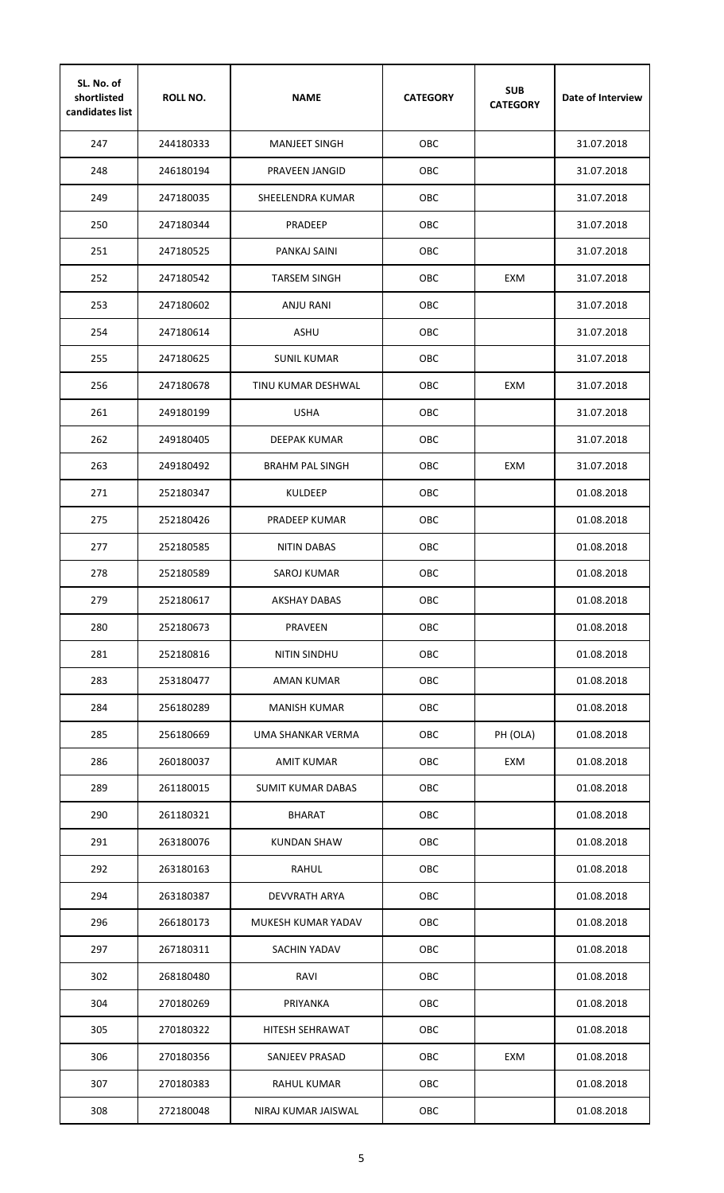| SL. No. of<br>shortlisted<br>candidates list | <b>ROLL NO.</b> | <b>NAME</b>            | <b>CATEGORY</b> | <b>SUB</b><br><b>CATEGORY</b> | Date of Interview |
|----------------------------------------------|-----------------|------------------------|-----------------|-------------------------------|-------------------|
| 247                                          | 244180333       | <b>MANJEET SINGH</b>   | <b>OBC</b>      |                               | 31.07.2018        |
| 248                                          | 246180194       | PRAVEEN JANGID         | OBC             |                               | 31.07.2018        |
| 249                                          | 247180035       | SHEELENDRA KUMAR       | OBC             |                               | 31.07.2018        |
| 250                                          | 247180344       | PRADEEP                | OBC             |                               | 31.07.2018        |
| 251                                          | 247180525       | PANKAJ SAINI           | OBC             |                               | 31.07.2018        |
| 252                                          | 247180542       | <b>TARSEM SINGH</b>    | <b>OBC</b>      | EXM                           | 31.07.2018        |
| 253                                          | 247180602       | ANJU RANI              | OBC             |                               | 31.07.2018        |
| 254                                          | 247180614       | <b>ASHU</b>            | <b>OBC</b>      |                               | 31.07.2018        |
| 255                                          | 247180625       | <b>SUNIL KUMAR</b>     | OBC             |                               | 31.07.2018        |
| 256                                          | 247180678       | TINU KUMAR DESHWAL     | <b>OBC</b>      | EXM                           | 31.07.2018        |
| 261                                          | 249180199       | <b>USHA</b>            | OBC             |                               | 31.07.2018        |
| 262                                          | 249180405       | DEEPAK KUMAR           | OBC             |                               | 31.07.2018        |
| 263                                          | 249180492       | <b>BRAHM PAL SINGH</b> | OBC             | EXM                           | 31.07.2018        |
| 271                                          | 252180347       | <b>KULDEEP</b>         | OBC             |                               | 01.08.2018        |
| 275                                          | 252180426       | PRADEEP KUMAR          | OBC             |                               | 01.08.2018        |
| 277                                          | 252180585       | <b>NITIN DABAS</b>     | OBC             |                               | 01.08.2018        |
| 278                                          | 252180589       | <b>SAROJ KUMAR</b>     | OBC             |                               | 01.08.2018        |
| 279                                          | 252180617       | <b>AKSHAY DABAS</b>    | OBC             |                               | 01.08.2018        |
| 280                                          | 252180673       | <b>PRAVEEN</b>         | OBC             |                               | 01.08.2018        |
| 281                                          | 252180816       | NITIN SINDHU           | OBC             |                               | 01.08.2018        |
| 283                                          | 253180477       | <b>AMAN KUMAR</b>      | OBC             |                               | 01.08.2018        |
| 284                                          | 256180289       | <b>MANISH KUMAR</b>    | OBC             |                               | 01.08.2018        |
| 285                                          | 256180669       | UMA SHANKAR VERMA      | OBC             | PH (OLA)                      | 01.08.2018        |
| 286                                          | 260180037       | AMIT KUMAR             | OBC             | EXM                           | 01.08.2018        |
| 289                                          | 261180015       | SUMIT KUMAR DABAS      | OBC             |                               | 01.08.2018        |
| 290                                          | 261180321       | <b>BHARAT</b>          | OBC             |                               | 01.08.2018        |
| 291                                          | 263180076       | KUNDAN SHAW            | OBC             |                               | 01.08.2018        |
| 292                                          | 263180163       | <b>RAHUL</b>           | OBC             |                               | 01.08.2018        |
| 294                                          | 263180387       | <b>DEVVRATH ARYA</b>   | OBC             |                               | 01.08.2018        |
| 296                                          | 266180173       | MUKESH KUMAR YADAV     | OBC             |                               | 01.08.2018        |
| 297                                          | 267180311       | SACHIN YADAV           | OBC             |                               | 01.08.2018        |
| 302                                          | 268180480       | RAVI                   | OBC             |                               | 01.08.2018        |
| 304                                          | 270180269       | PRIYANKA               | OBC             |                               | 01.08.2018        |
| 305                                          | 270180322       | HITESH SEHRAWAT        | OBC             |                               | 01.08.2018        |
| 306                                          | 270180356       | SANJEEV PRASAD         | OBC             | EXM                           | 01.08.2018        |
| 307                                          | 270180383       | RAHUL KUMAR            | OBC             |                               | 01.08.2018        |
| 308                                          | 272180048       | NIRAJ KUMAR JAISWAL    | OBC             |                               | 01.08.2018        |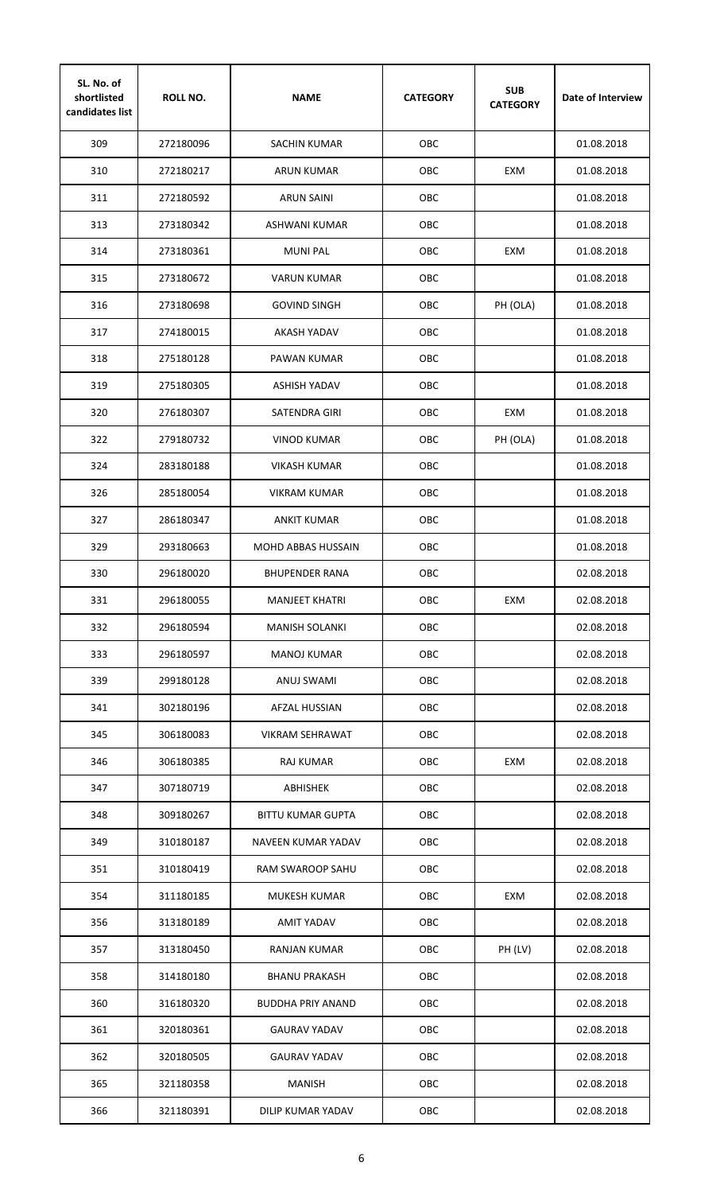| SL. No. of<br>shortlisted<br>candidates list | <b>ROLL NO.</b> | <b>NAME</b>              | <b>CATEGORY</b> | <b>SUB</b><br><b>CATEGORY</b> | Date of Interview |
|----------------------------------------------|-----------------|--------------------------|-----------------|-------------------------------|-------------------|
| 309                                          | 272180096       | <b>SACHIN KUMAR</b>      | <b>OBC</b>      |                               | 01.08.2018        |
| 310                                          | 272180217       | ARUN KUMAR               | OBC             | EXM                           | 01.08.2018        |
| 311                                          | 272180592       | <b>ARUN SAINI</b>        | OBC             |                               | 01.08.2018        |
| 313                                          | 273180342       | ASHWANI KUMAR            | OBC             |                               | 01.08.2018        |
| 314                                          | 273180361       | <b>MUNI PAL</b>          | OBC             | EXM                           | 01.08.2018        |
| 315                                          | 273180672       | <b>VARUN KUMAR</b>       | <b>OBC</b>      |                               | 01.08.2018        |
| 316                                          | 273180698       | <b>GOVIND SINGH</b>      | OBC             | PH (OLA)                      | 01.08.2018        |
| 317                                          | 274180015       | <b>AKASH YADAV</b>       | <b>OBC</b>      |                               | 01.08.2018        |
| 318                                          | 275180128       | PAWAN KUMAR              | <b>OBC</b>      |                               | 01.08.2018        |
| 319                                          | 275180305       | ASHISH YADAV             | OBC             |                               | 01.08.2018        |
| 320                                          | 276180307       | SATENDRA GIRI            | OBC             | EXM                           | 01.08.2018        |
| 322                                          | 279180732       | <b>VINOD KUMAR</b>       | OBC             | PH (OLA)                      | 01.08.2018        |
| 324                                          | 283180188       | <b>VIKASH KUMAR</b>      | OBC             |                               | 01.08.2018        |
| 326                                          | 285180054       | <b>VIKRAM KUMAR</b>      | OBC             |                               | 01.08.2018        |
| 327                                          | 286180347       | <b>ANKIT KUMAR</b>       | OBC             |                               | 01.08.2018        |
| 329                                          | 293180663       | MOHD ABBAS HUSSAIN       | OBC             |                               | 01.08.2018        |
| 330                                          | 296180020       | <b>BHUPENDER RANA</b>    | OBC             |                               | 02.08.2018        |
| 331                                          | 296180055       | <b>MANJEET KHATRI</b>    | OBC             | EXM                           | 02.08.2018        |
| 332                                          | 296180594       | <b>MANISH SOLANKI</b>    | OBC             |                               | 02.08.2018        |
| 333                                          | 296180597       | <b>MANOJ KUMAR</b>       | OBC             |                               | 02.08.2018        |
| 339                                          | 299180128       | <b>ANUJ SWAMI</b>        | OBC             |                               | 02.08.2018        |
| 341                                          | 302180196       | AFZAL HUSSIAN            | OBC             |                               | 02.08.2018        |
| 345                                          | 306180083       | <b>VIKRAM SEHRAWAT</b>   | OBC             |                               | 02.08.2018        |
| 346                                          | 306180385       | RAJ KUMAR                | OBC             | EXM                           | 02.08.2018        |
| 347                                          | 307180719       | <b>ABHISHEK</b>          | OBC             |                               | 02.08.2018        |
| 348                                          | 309180267       | <b>BITTU KUMAR GUPTA</b> | OBC             |                               | 02.08.2018        |
| 349                                          | 310180187       | NAVEEN KUMAR YADAV       | OBC             |                               | 02.08.2018        |
| 351                                          | 310180419       | RAM SWAROOP SAHU         | OBC             |                               | 02.08.2018        |
| 354                                          | 311180185       | MUKESH KUMAR             | OBC             | EXM                           | 02.08.2018        |
| 356                                          | 313180189       | AMIT YADAV               | OBC             |                               | 02.08.2018        |
| 357                                          | 313180450       | RANJAN KUMAR             | OBC             | PH (LV)                       | 02.08.2018        |
| 358                                          | 314180180       | <b>BHANU PRAKASH</b>     | OBC             |                               | 02.08.2018        |
| 360                                          | 316180320       | <b>BUDDHA PRIY ANAND</b> | OBC             |                               | 02.08.2018        |
| 361                                          | 320180361       | <b>GAURAV YADAV</b>      | OBC             |                               | 02.08.2018        |
| 362                                          | 320180505       | <b>GAURAV YADAV</b>      | OBC             |                               | 02.08.2018        |
| 365                                          | 321180358       | <b>MANISH</b>            | OBC             |                               | 02.08.2018        |
| 366                                          | 321180391       | DILIP KUMAR YADAV        | OBC             |                               | 02.08.2018        |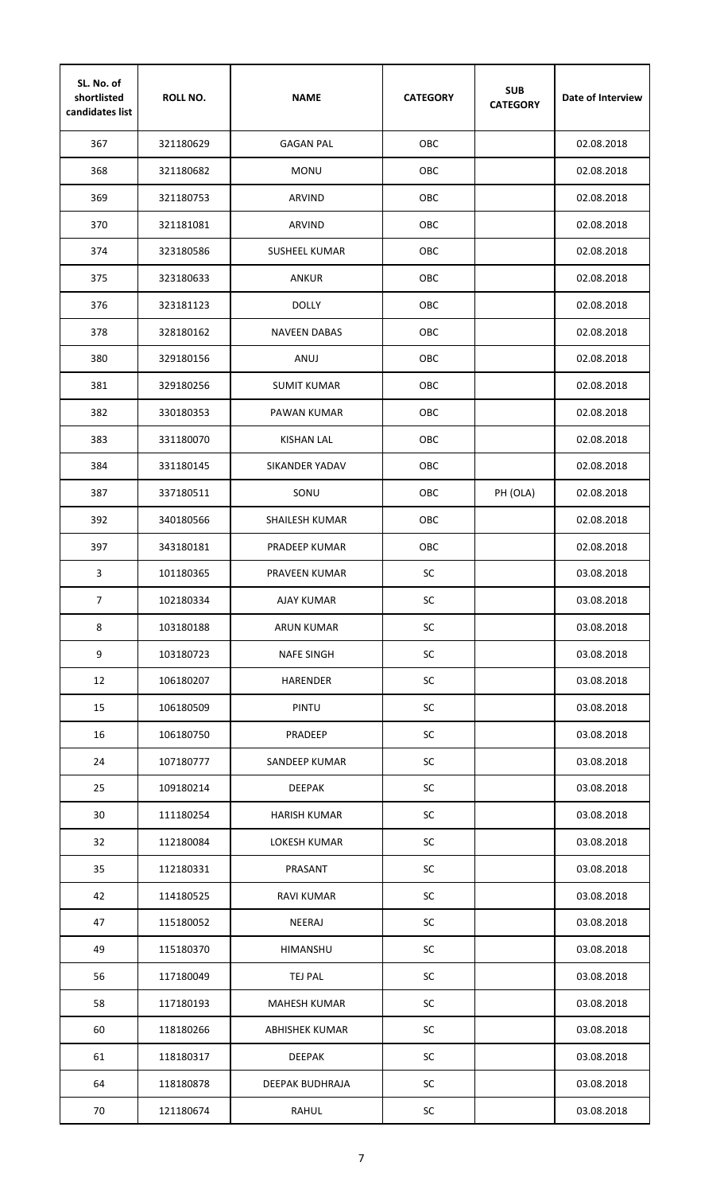| SL. No. of<br>shortlisted<br>candidates list | <b>ROLL NO.</b> | <b>NAME</b>           | <b>CATEGORY</b> | <b>SUB</b><br><b>CATEGORY</b> | Date of Interview |
|----------------------------------------------|-----------------|-----------------------|-----------------|-------------------------------|-------------------|
| 367                                          | 321180629       | <b>GAGAN PAL</b>      | <b>OBC</b>      |                               | 02.08.2018        |
| 368                                          | 321180682       | <b>MONU</b>           | OBC             |                               | 02.08.2018        |
| 369                                          | 321180753       | ARVIND                | OBC             |                               | 02.08.2018        |
| 370                                          | 321181081       | ARVIND                | OBC             |                               | 02.08.2018        |
| 374                                          | 323180586       | <b>SUSHEEL KUMAR</b>  | OBC             |                               | 02.08.2018        |
| 375                                          | 323180633       | <b>ANKUR</b>          | OBC             |                               | 02.08.2018        |
| 376                                          | 323181123       | <b>DOLLY</b>          | OBC             |                               | 02.08.2018        |
| 378                                          | 328180162       | <b>NAVEEN DABAS</b>   | <b>OBC</b>      |                               | 02.08.2018        |
| 380                                          | 329180156       | ANUJ                  | OBC             |                               | 02.08.2018        |
| 381                                          | 329180256       | <b>SUMIT KUMAR</b>    | OBC             |                               | 02.08.2018        |
| 382                                          | 330180353       | PAWAN KUMAR           | OBC             |                               | 02.08.2018        |
| 383                                          | 331180070       | <b>KISHAN LAL</b>     | OBC             |                               | 02.08.2018        |
| 384                                          | 331180145       | SIKANDER YADAV        | OBC             |                               | 02.08.2018        |
| 387                                          | 337180511       | SONU                  | OBC             | PH (OLA)                      | 02.08.2018        |
| 392                                          | 340180566       | <b>SHAILESH KUMAR</b> | OBC             |                               | 02.08.2018        |
| 397                                          | 343180181       | PRADEEP KUMAR         | OBC             |                               | 02.08.2018        |
| 3                                            | 101180365       | PRAVEEN KUMAR         | SC              |                               | 03.08.2018        |
| $\overline{7}$                               | 102180334       | <b>AJAY KUMAR</b>     | SC              |                               | 03.08.2018        |
| 8                                            | 103180188       | <b>ARUN KUMAR</b>     | <b>SC</b>       |                               | 03.08.2018        |
| 9                                            | 103180723       | <b>NAFE SINGH</b>     | <b>SC</b>       |                               | 03.08.2018        |
| 12                                           | 106180207       | <b>HARENDER</b>       | <b>SC</b>       |                               | 03.08.2018        |
| 15                                           | 106180509       | PINTU                 | <b>SC</b>       |                               | 03.08.2018        |
| 16                                           | 106180750       | PRADEEP               | <b>SC</b>       |                               | 03.08.2018        |
| 24                                           | 107180777       | SANDEEP KUMAR         | <b>SC</b>       |                               | 03.08.2018        |
| 25                                           | 109180214       | <b>DEEPAK</b>         | <b>SC</b>       |                               | 03.08.2018        |
| 30                                           | 111180254       | <b>HARISH KUMAR</b>   | SC              |                               | 03.08.2018        |
| 32                                           | 112180084       | LOKESH KUMAR          | <b>SC</b>       |                               | 03.08.2018        |
| 35                                           | 112180331       | PRASANT               | SC              |                               | 03.08.2018        |
| 42                                           | 114180525       | RAVI KUMAR            | <b>SC</b>       |                               | 03.08.2018        |
| 47                                           | 115180052       | NEERAJ                | <b>SC</b>       |                               | 03.08.2018        |
| 49                                           | 115180370       | HIMANSHU              | <b>SC</b>       |                               | 03.08.2018        |
| 56                                           | 117180049       | <b>TEJ PAL</b>        | <b>SC</b>       |                               | 03.08.2018        |
| 58                                           | 117180193       | <b>MAHESH KUMAR</b>   | <b>SC</b>       |                               | 03.08.2018        |
| 60                                           | 118180266       | <b>ABHISHEK KUMAR</b> | SC              |                               | 03.08.2018        |
| 61                                           | 118180317       | <b>DEEPAK</b>         | SC              |                               | 03.08.2018        |
| 64                                           | 118180878       | DEEPAK BUDHRAJA       | SC              |                               | 03.08.2018        |
| 70                                           | 121180674       | <b>RAHUL</b>          | SC              |                               | 03.08.2018        |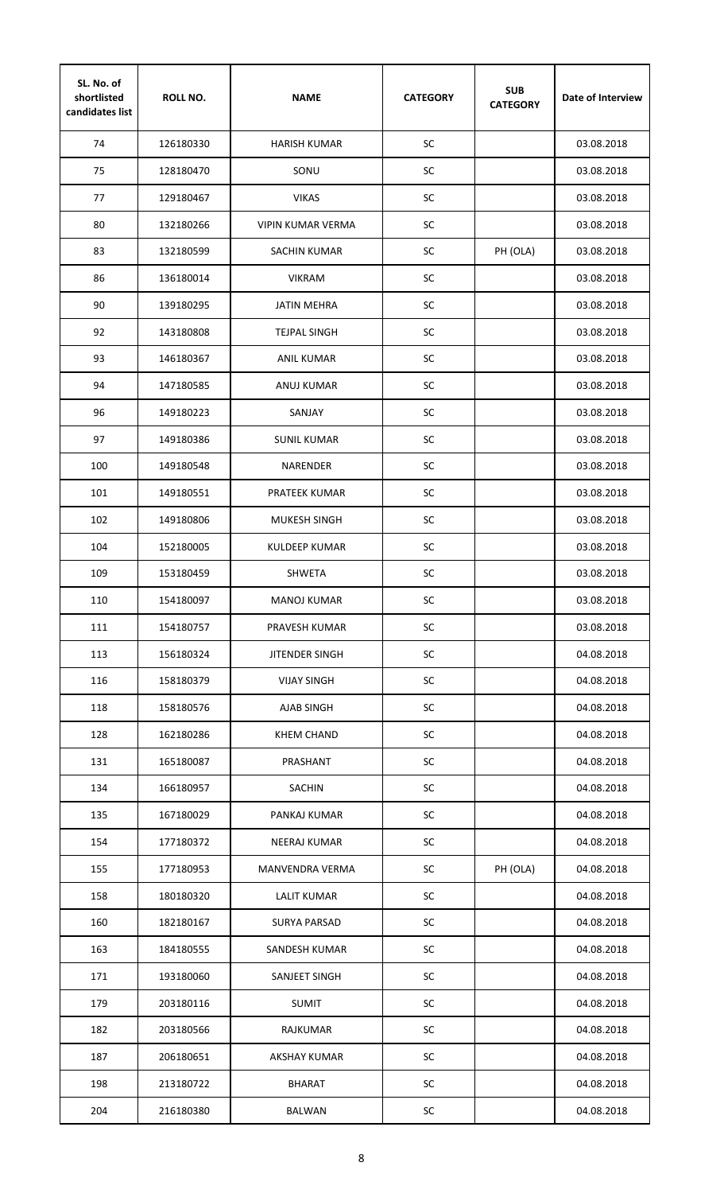| SL. No. of<br>shortlisted<br>candidates list | <b>ROLL NO.</b> | <b>NAME</b>              | <b>CATEGORY</b> | <b>SUB</b><br><b>CATEGORY</b> | Date of Interview |
|----------------------------------------------|-----------------|--------------------------|-----------------|-------------------------------|-------------------|
| 74                                           | 126180330       | <b>HARISH KUMAR</b>      | SC              |                               | 03.08.2018        |
| 75                                           | 128180470       | SONU                     | SC              |                               | 03.08.2018        |
| 77                                           | 129180467       | <b>VIKAS</b>             | SC              |                               | 03.08.2018        |
| 80                                           | 132180266       | <b>VIPIN KUMAR VERMA</b> | SC              |                               | 03.08.2018        |
| 83                                           | 132180599       | <b>SACHIN KUMAR</b>      | SC              | PH (OLA)                      | 03.08.2018        |
| 86                                           | 136180014       | <b>VIKRAM</b>            | SC              |                               | 03.08.2018        |
| 90                                           | 139180295       | <b>JATIN MEHRA</b>       | SC              |                               | 03.08.2018        |
| 92                                           | 143180808       | <b>TEJPAL SINGH</b>      | SC              |                               | 03.08.2018        |
| 93                                           | 146180367       | <b>ANIL KUMAR</b>        | SC              |                               | 03.08.2018        |
| 94                                           | 147180585       | ANUJ KUMAR               | SC              |                               | 03.08.2018        |
| 96                                           | 149180223       | SANJAY                   | SC              |                               | 03.08.2018        |
| 97                                           | 149180386       | <b>SUNIL KUMAR</b>       | SC              |                               | 03.08.2018        |
| 100                                          | 149180548       | <b>NARENDER</b>          | SC              |                               | 03.08.2018        |
| 101                                          | 149180551       | PRATEEK KUMAR            | SC              |                               | 03.08.2018        |
| 102                                          | 149180806       | MUKESH SINGH             | SC              |                               | 03.08.2018        |
| 104                                          | 152180005       | KULDEEP KUMAR            | <b>SC</b>       |                               | 03.08.2018        |
| 109                                          | 153180459       | <b>SHWETA</b>            | SC              |                               | 03.08.2018        |
| 110                                          | 154180097       | <b>MANOJ KUMAR</b>       | $\sf SC$        |                               | 03.08.2018        |
| 111                                          | 154180757       | PRAVESH KUMAR            | SC              |                               | 03.08.2018        |
| 113                                          | 156180324       | JITENDER SINGH           | <b>SC</b>       |                               | 04.08.2018        |
| 116                                          | 158180379       | <b>VIJAY SINGH</b>       | SC              |                               | 04.08.2018        |
| 118                                          | 158180576       | <b>AJAB SINGH</b>        | <b>SC</b>       |                               | 04.08.2018        |
| 128                                          | 162180286       | <b>KHEM CHAND</b>        | SC              |                               | 04.08.2018        |
| 131                                          | 165180087       | PRASHANT                 | <b>SC</b>       |                               | 04.08.2018        |
| 134                                          | 166180957       | <b>SACHIN</b>            | <b>SC</b>       |                               | 04.08.2018        |
| 135                                          | 167180029       | PANKAJ KUMAR             | <b>SC</b>       |                               | 04.08.2018        |
| 154                                          | 177180372       | <b>NEERAJ KUMAR</b>      | SC              |                               | 04.08.2018        |
| 155                                          | 177180953       | MANVENDRA VERMA          | <b>SC</b>       | PH (OLA)                      | 04.08.2018        |
| 158                                          | 180180320       | <b>LALIT KUMAR</b>       | <b>SC</b>       |                               | 04.08.2018        |
| 160                                          | 182180167       | <b>SURYA PARSAD</b>      | <b>SC</b>       |                               | 04.08.2018        |
| 163                                          | 184180555       | SANDESH KUMAR            | <b>SC</b>       |                               | 04.08.2018        |
| 171                                          | 193180060       | SANJEET SINGH            | SC              |                               | 04.08.2018        |
| 179                                          | 203180116       | <b>SUMIT</b>             | <b>SC</b>       |                               | 04.08.2018        |
| 182                                          | 203180566       | RAJKUMAR                 | <b>SC</b>       |                               | 04.08.2018        |
| 187                                          | 206180651       | AKSHAY KUMAR             | SC              |                               | 04.08.2018        |
| 198                                          | 213180722       | <b>BHARAT</b>            | SC              |                               | 04.08.2018        |
| 204                                          | 216180380       | <b>BALWAN</b>            | SC              |                               | 04.08.2018        |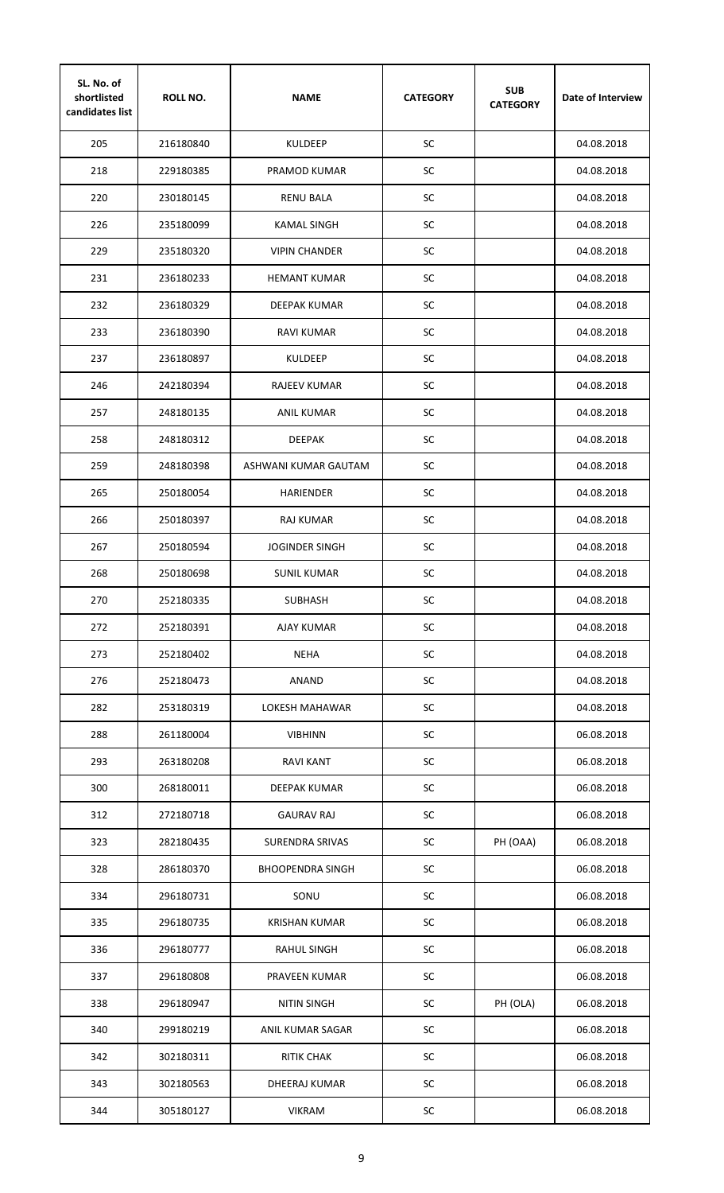| SL. No. of<br>shortlisted<br>candidates list | <b>ROLL NO.</b> | <b>NAME</b>             | <b>CATEGORY</b> | <b>SUB</b><br><b>CATEGORY</b> | Date of Interview |
|----------------------------------------------|-----------------|-------------------------|-----------------|-------------------------------|-------------------|
| 205                                          | 216180840       | <b>KULDEEP</b>          | SC              |                               | 04.08.2018        |
| 218                                          | 229180385       | PRAMOD KUMAR            | SC              |                               | 04.08.2018        |
| 220                                          | 230180145       | <b>RENU BALA</b>        | SC              |                               | 04.08.2018        |
| 226                                          | 235180099       | KAMAL SINGH             | SC              |                               | 04.08.2018        |
| 229                                          | 235180320       | <b>VIPIN CHANDER</b>    | SC              |                               | 04.08.2018        |
| 231                                          | 236180233       | <b>HEMANT KUMAR</b>     | SC              |                               | 04.08.2018        |
| 232                                          | 236180329       | DEEPAK KUMAR            | SC              |                               | 04.08.2018        |
| 233                                          | 236180390       | RAVI KUMAR              | SC              |                               | 04.08.2018        |
| 237                                          | 236180897       | <b>KULDEEP</b>          | SC              |                               | 04.08.2018        |
| 246                                          | 242180394       | RAJEEV KUMAR            | SC              |                               | 04.08.2018        |
| 257                                          | 248180135       | ANIL KUMAR              | SC              |                               | 04.08.2018        |
| 258                                          | 248180312       | <b>DEEPAK</b>           | SC              |                               | 04.08.2018        |
| 259                                          | 248180398       | ASHWANI KUMAR GAUTAM    | SC              |                               | 04.08.2018        |
| 265                                          | 250180054       | <b>HARIENDER</b>        | SC              |                               | 04.08.2018        |
| 266                                          | 250180397       | RAJ KUMAR               | SC              |                               | 04.08.2018        |
| 267                                          | 250180594       | <b>JOGINDER SINGH</b>   | <b>SC</b>       |                               | 04.08.2018        |
| 268                                          | 250180698       | <b>SUNIL KUMAR</b>      | SC              |                               | 04.08.2018        |
| 270                                          | 252180335       | <b>SUBHASH</b>          | SC              |                               | 04.08.2018        |
| 272                                          | 252180391       | <b>AJAY KUMAR</b>       | SC              |                               | 04.08.2018        |
| 273                                          | 252180402       | <b>NEHA</b>             | <b>SC</b>       |                               | 04.08.2018        |
| 276                                          | 252180473       | <b>ANAND</b>            | <b>SC</b>       |                               | 04.08.2018        |
| 282                                          | 253180319       | <b>LOKESH MAHAWAR</b>   | <b>SC</b>       |                               | 04.08.2018        |
| 288                                          | 261180004       | <b>VIBHINN</b>          | SC              |                               | 06.08.2018        |
| 293                                          | 263180208       | <b>RAVI KANT</b>        | SC              |                               | 06.08.2018        |
| 300                                          | 268180011       | DEEPAK KUMAR            | SC              |                               | 06.08.2018        |
| 312                                          | 272180718       | <b>GAURAV RAJ</b>       | SC              |                               | 06.08.2018        |
| 323                                          | 282180435       | <b>SURENDRA SRIVAS</b>  | <b>SC</b>       | PH (OAA)                      | 06.08.2018        |
| 328                                          | 286180370       | <b>BHOOPENDRA SINGH</b> | SC              |                               | 06.08.2018        |
| 334                                          | 296180731       | SONU                    | <b>SC</b>       |                               | 06.08.2018        |
| 335                                          | 296180735       | <b>KRISHAN KUMAR</b>    | <b>SC</b>       |                               | 06.08.2018        |
| 336                                          | 296180777       | <b>RAHUL SINGH</b>      | <b>SC</b>       |                               | 06.08.2018        |
| 337                                          | 296180808       | <b>PRAVEEN KUMAR</b>    | SC              |                               | 06.08.2018        |
| 338                                          | 296180947       | <b>NITIN SINGH</b>      | SC              | PH (OLA)                      | 06.08.2018        |
| 340                                          | 299180219       | ANIL KUMAR SAGAR        | SC              |                               | 06.08.2018        |
| 342                                          | 302180311       | <b>RITIK CHAK</b>       | SC              |                               | 06.08.2018        |
| 343                                          | 302180563       | DHEERAJ KUMAR           | SC              |                               | 06.08.2018        |
| 344                                          | 305180127       | <b>VIKRAM</b>           | SC              |                               | 06.08.2018        |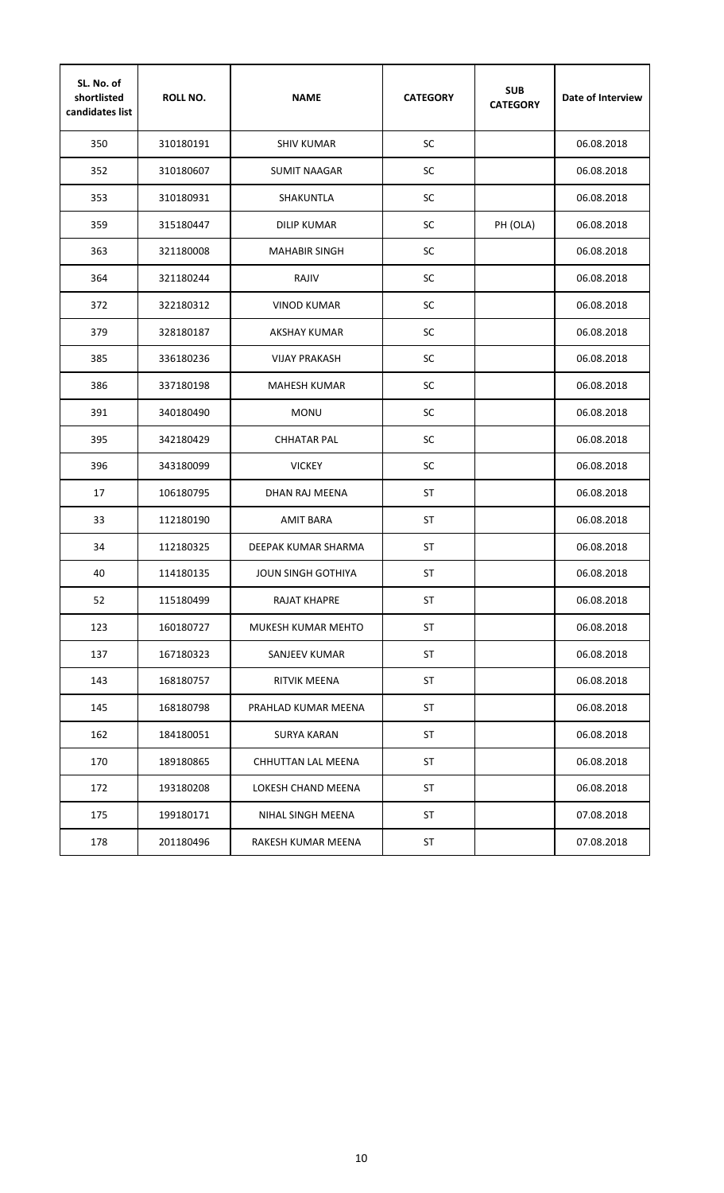| SL. No. of<br>shortlisted<br>candidates list | <b>ROLL NO.</b> | <b>NAME</b>               | <b>CATEGORY</b> | <b>SUB</b><br><b>CATEGORY</b> | Date of Interview |
|----------------------------------------------|-----------------|---------------------------|-----------------|-------------------------------|-------------------|
| 350                                          | 310180191       | <b>SHIV KUMAR</b>         | SC              |                               | 06.08.2018        |
| 352                                          | 310180607       | <b>SUMIT NAAGAR</b>       | SC              |                               | 06.08.2018        |
| 353                                          | 310180931       | <b>SHAKUNTLA</b>          | SC              |                               | 06.08.2018        |
| 359                                          | 315180447       | DILIP KUMAR               | SC              | PH (OLA)                      | 06.08.2018        |
| 363                                          | 321180008       | <b>MAHABIR SINGH</b>      | SC              |                               | 06.08.2018        |
| 364                                          | 321180244       | RAJIV                     | SC              |                               | 06.08.2018        |
| 372                                          | 322180312       | <b>VINOD KUMAR</b>        | SC              |                               | 06.08.2018        |
| 379                                          | 328180187       | AKSHAY KUMAR              | SC              |                               | 06.08.2018        |
| 385                                          | 336180236       | <b>VIJAY PRAKASH</b>      | SC              |                               | 06.08.2018        |
| 386                                          | 337180198       | <b>MAHESH KUMAR</b>       | SC              |                               | 06.08.2018        |
| 391                                          | 340180490       | <b>MONU</b>               | SC              |                               | 06.08.2018        |
| 395                                          | 342180429       | <b>CHHATAR PAL</b>        | SC              |                               | 06.08.2018        |
| 396                                          | 343180099       | <b>VICKEY</b>             | SC              |                               | 06.08.2018        |
| 17                                           | 106180795       | DHAN RAJ MEENA            | <b>ST</b>       |                               | 06.08.2018        |
| 33                                           | 112180190       | <b>AMIT BARA</b>          | <b>ST</b>       |                               | 06.08.2018        |
| 34                                           | 112180325       | DEEPAK KUMAR SHARMA       | <b>ST</b>       |                               | 06.08.2018        |
| 40                                           | 114180135       | <b>JOUN SINGH GOTHIYA</b> | <b>ST</b>       |                               | 06.08.2018        |
| 52                                           | 115180499       | <b>RAJAT KHAPRE</b>       | <b>ST</b>       |                               | 06.08.2018        |
| 123                                          | 160180727       | MUKESH KUMAR MEHTO        | ST              |                               | 06.08.2018        |
| 137                                          | 167180323       | SANJEEV KUMAR             | ST              |                               | 06.08.2018        |
| 143                                          | 168180757       | RITVIK MEENA              | ST              |                               | 06.08.2018        |
| 145                                          | 168180798       | PRAHLAD KUMAR MEENA       | ST              |                               | 06.08.2018        |
| 162                                          | 184180051       | <b>SURYA KARAN</b>        | ST              |                               | 06.08.2018        |
| 170                                          | 189180865       | CHHUTTAN LAL MEENA        | ST              |                               | 06.08.2018        |
| 172                                          | 193180208       | LOKESH CHAND MEENA        | ST              |                               | 06.08.2018        |
| 175                                          | 199180171       | NIHAL SINGH MEENA         | ST              |                               | 07.08.2018        |
| 178                                          | 201180496       | RAKESH KUMAR MEENA        | ST              |                               | 07.08.2018        |